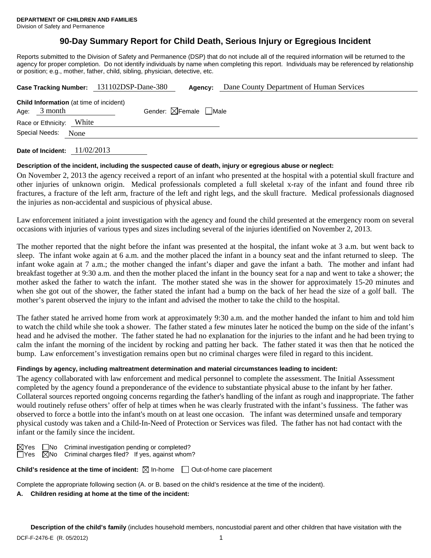# **90-Day Summary Report for Child Death, Serious Injury or Egregious Incident**

Reports submitted to the Division of Safety and Permanence (DSP) that do not include all of the required information will be returned to the agency for proper completion. Do not identify individuals by name when completing this report. Individuals may be referenced by relationship or position; e.g., mother, father, child, sibling, physician, detective, etc.

| Case Tracking Number: 131102DSP-Dane-380 |                          |                                                |                                        | Agency: | Dane County Department of Human Services |
|------------------------------------------|--------------------------|------------------------------------------------|----------------------------------------|---------|------------------------------------------|
|                                          | Age: $3$ month           | <b>Child Information</b> (at time of incident) | Gender: $\boxtimes$ Female $\Box$ Male |         |                                          |
|                                          | Race or Ethnicity: White |                                                |                                        |         |                                          |
|                                          | Special Needs:           | None                                           |                                        |         |                                          |
|                                          |                          |                                                |                                        |         |                                          |

**Date of Incident:** 11/02/2013

# **Description of the incident, including the suspected cause of death, injury or egregious abuse or neglect:**

On November 2, 2013 the agency received a report of an infant who presented at the hospital with a potential skull fracture and other injuries of unknown origin. Medical professionals completed a full skeletal x-ray of the infant and found three rib fractures, a fracture of the left arm, fracture of the left and right legs, and the skull fracture. Medical professionals diagnosed the injuries as non-accidental and suspicious of physical abuse.

Law enforcement initiated a joint investigation with the agency and found the child presented at the emergency room on several occasions with injuries of various types and sizes including several of the injuries identified on November 2, 2013.

The mother reported that the night before the infant was presented at the hospital, the infant woke at 3 a.m. but went back to sleep. The infant woke again at 6 a.m. and the mother placed the infant in a bouncy seat and the infant returned to sleep. The infant woke again at 7 a.m.; the mother changed the infant's diaper and gave the infant a bath. The mother and infant had breakfast together at 9:30 a.m. and then the mother placed the infant in the bouncy seat for a nap and went to take a shower; the mother asked the father to watch the infant. The mother stated she was in the shower for approximately 15-20 minutes and when she got out of the shower, the father stated the infant had a bump on the back of her head the size of a golf ball. The mother's parent observed the injury to the infant and advised the mother to take the child to the hospital.

The father stated he arrived home from work at approximately 9:30 a.m. and the mother handed the infant to him and told him to watch the child while she took a shower. The father stated a few minutes later he noticed the bump on the side of the infant's head and he advised the mother. The father stated he had no explanation for the injuries to the infant and he had been trying to calm the infant the morning of the incident by rocking and patting her back. The father stated it was then that he noticed the bump. Law enforcement's investigation remains open but no criminal charges were filed in regard to this incident.

# **Findings by agency, including maltreatment determination and material circumstances leading to incident:**

The agency collaborated with law enforcement and medical personnel to complete the assessment. The Initial Assessment completed by the agency found a preponderance of the evidence to substantiate physical abuse to the infant by her father. Collateral sources reported ongoing concerns regarding the father's handling of the infant as rough and inappropriate. The father would routinely refuse others' offer of help at times when he was clearly frustrated with the infant's fussiness. The father was observed to force a bottle into the infant's mouth on at least one occasion. The infant was determined unsafe and temporary physical custody was taken and a Child-In-Need of Protection or Services was filed. The father has not had contact with the infant or the family since the incident.

 $\boxtimes$ Yes  $\Box$ No Criminal investigation pending or completed?  $\Box$ Yes  $\Box$ No Criminal charges filed? If yes, against whom?

**Child's residence at the time of incident:**  $\boxtimes$  In-home  $\Box$  Out-of-home care placement

Complete the appropriate following section (A. or B. based on the child's residence at the time of the incident).

# **A. Children residing at home at the time of the incident:**

**Description of the child's family** (includes household members, noncustodial parent and other children that have visitation with the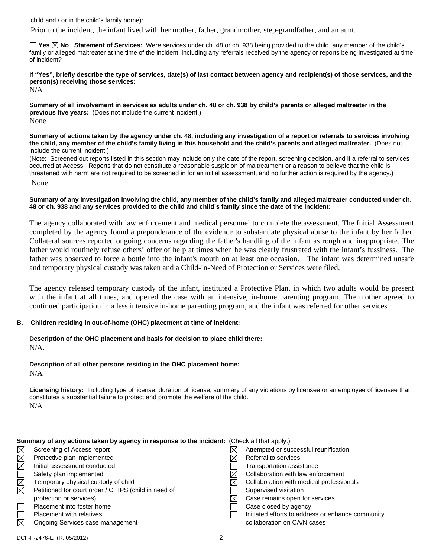child and / or in the child's family home):

Prior to the incident, the infant lived with her mother, father, grandmother, step-grandfather, and an aunt.

**Yes No Statement of Services:** Were services under ch. 48 or ch. 938 being provided to the child, any member of the child's family or alleged maltreater at the time of the incident, including any referrals received by the agency or reports being investigated at time of incident?

**If "Yes", briefly describe the type of services, date(s) of last contact between agency and recipient(s) of those services, and the person(s) receiving those services:** 

N/A

**Summary of all involvement in services as adults under ch. 48 or ch. 938 by child's parents or alleged maltreater in the previous five years:** (Does not include the current incident.) None

**Summary of actions taken by the agency under ch. 48, including any investigation of a report or referrals to services involving the child, any member of the child's family living in this household and the child's parents and alleged maltreater.** (Does not include the current incident.)

(Note: Screened out reports listed in this section may include only the date of the report, screening decision, and if a referral to services occurred at Access. Reports that do not constitute a reasonable suspicion of maltreatment or a reason to believe that the child is threatened with harm are not required to be screened in for an initial assessment, and no further action is required by the agency.)

None

#### **Summary of any investigation involving the child, any member of the child's family and alleged maltreater conducted under ch. 48 or ch. 938 and any services provided to the child and child's family since the date of the incident:**

The agency collaborated with law enforcement and medical personnel to complete the assessment. The Initial Assessment completed by the agency found a preponderance of the evidence to substantiate physical abuse to the infant by her father. Collateral sources reported ongoing concerns regarding the father's handling of the infant as rough and inappropriate. The father would routinely refuse others' offer of help at times when he was clearly frustrated with the infant's fussiness. The father was observed to force a bottle into the infant's mouth on at least one occasion. The infant was determined unsafe and temporary physical custody was taken and a Child-In-Need of Protection or Services were filed.

The agency released temporary custody of the infant, instituted a Protective Plan, in which two adults would be present with the infant at all times, and opened the case with an intensive, in-home parenting program. The mother agreed to continued participation in a less intensive in-home parenting program, and the infant was referred for other services.

## **B. Children residing in out-of-home (OHC) placement at time of incident:**

**Description of the OHC placement and basis for decision to place child there:** N/A.

**Description of all other persons residing in the OHC placement home:** N/A

**Licensing history:** Including type of license, duration of license, summary of any violations by licensee or an employee of licensee that constitutes a substantial failure to protect and promote the welfare of the child. N/A

|             | <b>Summary of any actions taken by agency in response to the incident:</b> (Check all that apply.) |  |                                                   |  |
|-------------|----------------------------------------------------------------------------------------------------|--|---------------------------------------------------|--|
| $\boxtimes$ | Screening of Access report                                                                         |  | Attempted or successful reunification             |  |
| $\boxtimes$ | Protective plan implemented                                                                        |  | Referral to services                              |  |
|             | Initial assessment conducted                                                                       |  | Transportation assistance                         |  |
|             | Safety plan implemented                                                                            |  | Collaboration with law enforcement                |  |
| <b>NN</b>   | Temporary physical custody of child                                                                |  | Collaboration with medical professionals          |  |
|             | Petitioned for court order / CHIPS (child in need of                                               |  | Supervised visitation                             |  |
|             | protection or services)                                                                            |  | Case remains open for services                    |  |
|             | Placement into foster home                                                                         |  | Case closed by agency                             |  |
|             | <b>Placement with relatives</b>                                                                    |  | Initiated efforts to address or enhance community |  |
| $\boxtimes$ | Ongoing Services case management                                                                   |  | collaboration on CA/N cases                       |  |